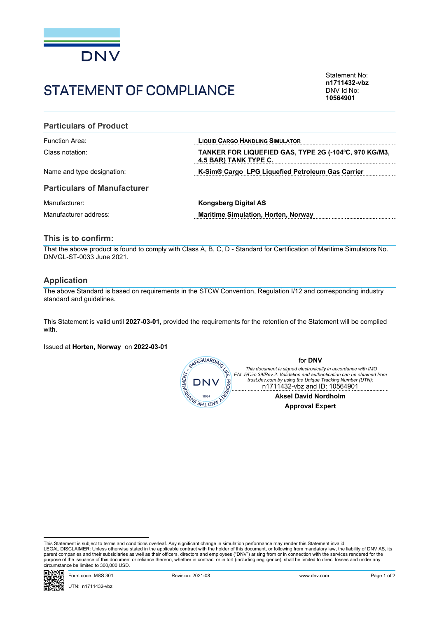

# STATEMENT OF COMPLIANCE

Statement No: **n1711432-vbz** DNV Id No: **10564901**

#### **Particulars of Product**

| Function Area:             | <b>LIQUID CARGO HANDLING SIMULATOR</b>                                         |
|----------------------------|--------------------------------------------------------------------------------|
| Class notation:            | TANKER FOR LIQUEFIED GAS, TYPE 2G (-104°C, 970 KG/M3,<br>4.5 BAR) TANK TYPE C. |
| Name and type designation: | K-Sim <sup>®</sup> Cargo LPG Liquefied Petroleum Gas Carrier                   |

#### **Particulars of Manufacturer**

| Manufacturer:         | Kongsberg Digital AS                       |
|-----------------------|--------------------------------------------|
| Manufacturer address: | <b>Maritime Simulation, Horten, Norway</b> |

### **This is to confirm:**

That the above product is found to comply with Class A, B, C, D - Standard for Certification of Maritime Simulators No. DNVGL-ST-0033 June 2021.

#### **Application**

The above Standard is based on requirements in the STCW Convention, Regulation I/12 and corresponding industry standard and guidelines.

This Statement is valid until **2027-03-01**, provided the requirements for the retention of the Statement will be complied with.

Issued at **Horten, Norway** on **2022-03-01**



This Statement is subject to terms and conditions overleaf. Any significant change in simulation performance may render this Statement invalid.<br>LEGAL DISCLAIMER: Unless otherwise stated in the applicable contract with the purpose of the issuance of this document or reliance thereon, whether in contract or in tort (including negligence), shall be limited to direct losses and under any circumstance be limited to 300,000 USD.